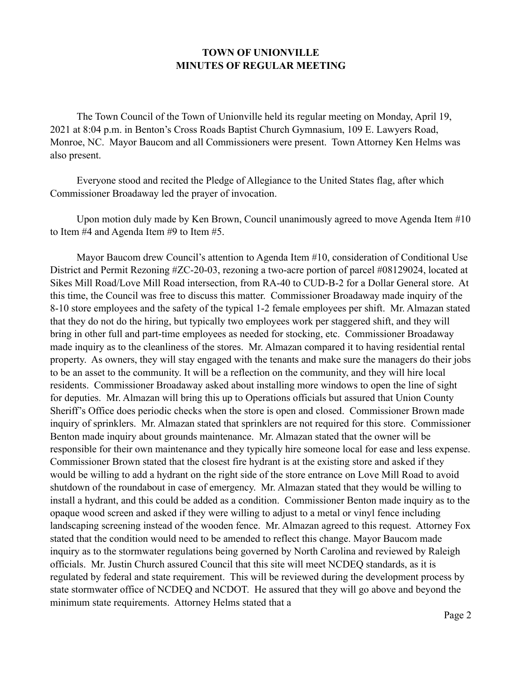## **TOWN OF UNIONVILLE MINUTES OF REGULAR MEETING**

 The Town Council of the Town of Unionville held its regular meeting on Monday, April 19, 2021 at 8:04 p.m. in Benton's Cross Roads Baptist Church Gymnasium, 109 E. Lawyers Road, Monroe, NC. Mayor Baucom and all Commissioners were present. Town Attorney Ken Helms was also present.

 Everyone stood and recited the Pledge of Allegiance to the United States flag, after which Commissioner Broadaway led the prayer of invocation.

 Upon motion duly made by Ken Brown, Council unanimously agreed to move Agenda Item #10 to Item #4 and Agenda Item #9 to Item #5.

 Mayor Baucom drew Council's attention to Agenda Item #10, consideration of Conditional Use District and Permit Rezoning #ZC-20-03, rezoning a two-acre portion of parcel #08129024, located at Sikes Mill Road/Love Mill Road intersection, from RA-40 to CUD-B-2 for a Dollar General store. At this time, the Council was free to discuss this matter. Commissioner Broadaway made inquiry of the 8-10 store employees and the safety of the typical 1-2 female employees per shift. Mr. Almazan stated that they do not do the hiring, but typically two employees work per staggered shift, and they will bring in other full and part-time employees as needed for stocking, etc. Commissioner Broadaway made inquiry as to the cleanliness of the stores. Mr. Almazan compared it to having residential rental property. As owners, they will stay engaged with the tenants and make sure the managers do their jobs to be an asset to the community. It will be a reflection on the community, and they will hire local residents. Commissioner Broadaway asked about installing more windows to open the line of sight for deputies. Mr. Almazan will bring this up to Operations officials but assured that Union County Sheriff's Office does periodic checks when the store is open and closed. Commissioner Brown made inquiry of sprinklers. Mr. Almazan stated that sprinklers are not required for this store. Commissioner Benton made inquiry about grounds maintenance. Mr. Almazan stated that the owner will be responsible for their own maintenance and they typically hire someone local for ease and less expense. Commissioner Brown stated that the closest fire hydrant is at the existing store and asked if they would be willing to add a hydrant on the right side of the store entrance on Love Mill Road to avoid shutdown of the roundabout in case of emergency. Mr. Almazan stated that they would be willing to install a hydrant, and this could be added as a condition. Commissioner Benton made inquiry as to the opaque wood screen and asked if they were willing to adjust to a metal or vinyl fence including landscaping screening instead of the wooden fence. Mr. Almazan agreed to this request. Attorney Fox stated that the condition would need to be amended to reflect this change. Mayor Baucom made inquiry as to the stormwater regulations being governed by North Carolina and reviewed by Raleigh officials. Mr. Justin Church assured Council that this site will meet NCDEQ standards, as it is regulated by federal and state requirement. This will be reviewed during the development process by state stormwater office of NCDEQ and NCDOT. He assured that they will go above and beyond the minimum state requirements. Attorney Helms stated that a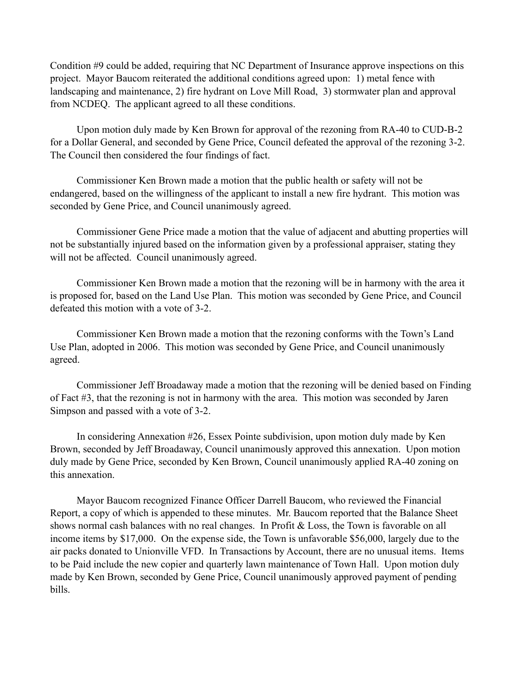Condition #9 could be added, requiring that NC Department of Insurance approve inspections on this project. Mayor Baucom reiterated the additional conditions agreed upon: 1) metal fence with landscaping and maintenance, 2) fire hydrant on Love Mill Road, 3) stormwater plan and approval from NCDEQ. The applicant agreed to all these conditions.

 Upon motion duly made by Ken Brown for approval of the rezoning from RA-40 to CUD-B-2 for a Dollar General, and seconded by Gene Price, Council defeated the approval of the rezoning 3-2. The Council then considered the four findings of fact.

 Commissioner Ken Brown made a motion that the public health or safety will not be endangered, based on the willingness of the applicant to install a new fire hydrant. This motion was seconded by Gene Price, and Council unanimously agreed.

 Commissioner Gene Price made a motion that the value of adjacent and abutting properties will not be substantially injured based on the information given by a professional appraiser, stating they will not be affected. Council unanimously agreed.

 Commissioner Ken Brown made a motion that the rezoning will be in harmony with the area it is proposed for, based on the Land Use Plan. This motion was seconded by Gene Price, and Council defeated this motion with a vote of 3-2.

 Commissioner Ken Brown made a motion that the rezoning conforms with the Town's Land Use Plan, adopted in 2006. This motion was seconded by Gene Price, and Council unanimously agreed.

 Commissioner Jeff Broadaway made a motion that the rezoning will be denied based on Finding of Fact #3, that the rezoning is not in harmony with the area. This motion was seconded by Jaren Simpson and passed with a vote of 3-2.

 In considering Annexation #26, Essex Pointe subdivision, upon motion duly made by Ken Brown, seconded by Jeff Broadaway, Council unanimously approved this annexation. Upon motion duly made by Gene Price, seconded by Ken Brown, Council unanimously applied RA-40 zoning on this annexation.

 Mayor Baucom recognized Finance Officer Darrell Baucom, who reviewed the Financial Report, a copy of which is appended to these minutes. Mr. Baucom reported that the Balance Sheet shows normal cash balances with no real changes. In Profit & Loss, the Town is favorable on all income items by \$17,000. On the expense side, the Town is unfavorable \$56,000, largely due to the air packs donated to Unionville VFD. In Transactions by Account, there are no unusual items. Items to be Paid include the new copier and quarterly lawn maintenance of Town Hall. Upon motion duly made by Ken Brown, seconded by Gene Price, Council unanimously approved payment of pending bills.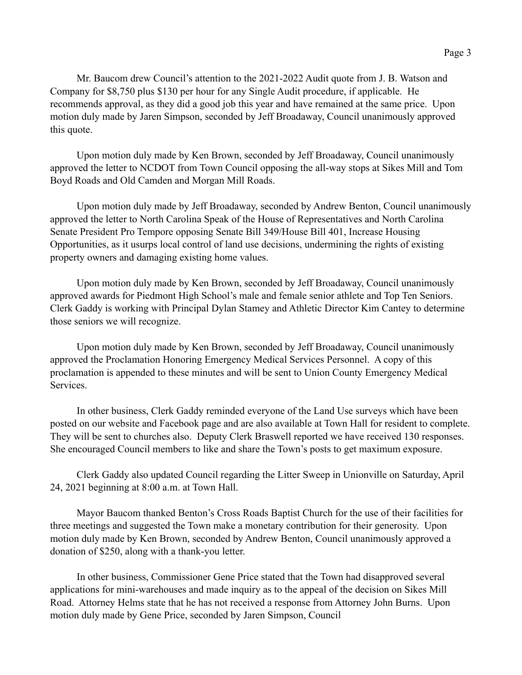Mr. Baucom drew Council's attention to the 2021-2022 Audit quote from J. B. Watson and Company for \$8,750 plus \$130 per hour for any Single Audit procedure, if applicable. He recommends approval, as they did a good job this year and have remained at the same price. Upon motion duly made by Jaren Simpson, seconded by Jeff Broadaway, Council unanimously approved this quote.

 Upon motion duly made by Ken Brown, seconded by Jeff Broadaway, Council unanimously approved the letter to NCDOT from Town Council opposing the all-way stops at Sikes Mill and Tom Boyd Roads and Old Camden and Morgan Mill Roads.

 Upon motion duly made by Jeff Broadaway, seconded by Andrew Benton, Council unanimously approved the letter to North Carolina Speak of the House of Representatives and North Carolina Senate President Pro Tempore opposing Senate Bill 349/House Bill 401, Increase Housing Opportunities, as it usurps local control of land use decisions, undermining the rights of existing property owners and damaging existing home values.

 Upon motion duly made by Ken Brown, seconded by Jeff Broadaway, Council unanimously approved awards for Piedmont High School's male and female senior athlete and Top Ten Seniors. Clerk Gaddy is working with Principal Dylan Stamey and Athletic Director Kim Cantey to determine those seniors we will recognize.

 Upon motion duly made by Ken Brown, seconded by Jeff Broadaway, Council unanimously approved the Proclamation Honoring Emergency Medical Services Personnel. A copy of this proclamation is appended to these minutes and will be sent to Union County Emergency Medical Services.

 In other business, Clerk Gaddy reminded everyone of the Land Use surveys which have been posted on our website and Facebook page and are also available at Town Hall for resident to complete. They will be sent to churches also. Deputy Clerk Braswell reported we have received 130 responses. She encouraged Council members to like and share the Town's posts to get maximum exposure.

 Clerk Gaddy also updated Council regarding the Litter Sweep in Unionville on Saturday, April 24, 2021 beginning at 8:00 a.m. at Town Hall.

 Mayor Baucom thanked Benton's Cross Roads Baptist Church for the use of their facilities for three meetings and suggested the Town make a monetary contribution for their generosity. Upon motion duly made by Ken Brown, seconded by Andrew Benton, Council unanimously approved a donation of \$250, along with a thank-you letter.

 In other business, Commissioner Gene Price stated that the Town had disapproved several applications for mini-warehouses and made inquiry as to the appeal of the decision on Sikes Mill Road. Attorney Helms state that he has not received a response from Attorney John Burns. Upon motion duly made by Gene Price, seconded by Jaren Simpson, Council